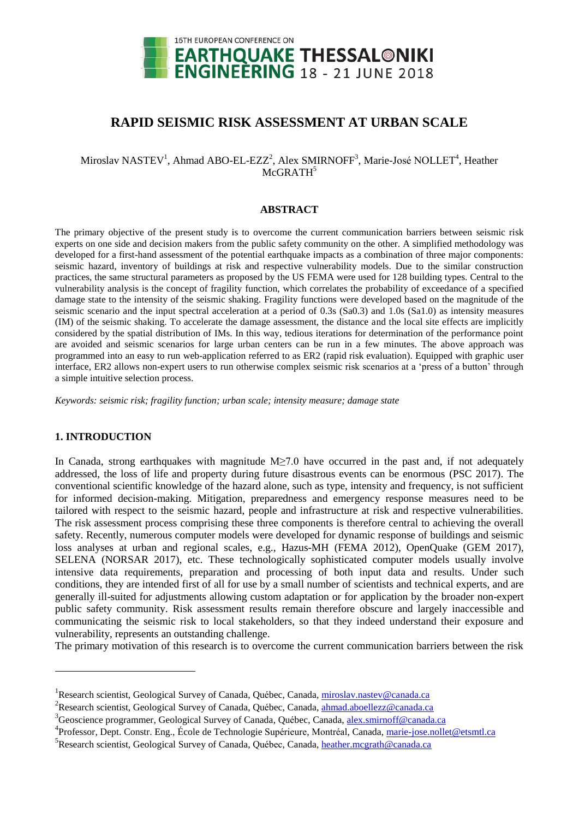

# **RAPID SEISMIC RISK ASSESSMENT AT URBAN SCALE**

## Miroslav NASTEV<sup>1</sup>, Ahmad ABO-EL-EZZ<sup>2</sup>, Alex SMIRNOFF<sup>3</sup>, Marie-José NOLLET<sup>4</sup>, Heather McGRATH<sup>5</sup>

## **ABSTRACT**

The primary objective of the present study is to overcome the current communication barriers between seismic risk experts on one side and decision makers from the public safety community on the other. A simplified methodology was developed for a first-hand assessment of the potential earthquake impacts as a combination of three major components: seismic hazard, inventory of buildings at risk and respective vulnerability models. Due to the similar construction practices, the same structural parameters as proposed by the US FEMA were used for 128 building types. Central to the vulnerability analysis is the concept of fragility function, which correlates the probability of exceedance of a specified damage state to the intensity of the seismic shaking. Fragility functions were developed based on the magnitude of the seismic scenario and the input spectral acceleration at a period of 0.3s (Sa0.3) and 1.0s (Sa1.0) as intensity measures (IM) of the seismic shaking. To accelerate the damage assessment, the distance and the local site effects are implicitly considered by the spatial distribution of IMs. In this way, tedious iterations for determination of the performance point are avoided and seismic scenarios for large urban centers can be run in a few minutes. The above approach was programmed into an easy to run web-application referred to as ER2 (rapid risk evaluation). Equipped with graphic user interface, ER2 allows non-expert users to run otherwise complex seismic risk scenarios at a 'press of a button' through a simple intuitive selection process.

*Keywords: seismic risk; fragility function; urban scale; intensity measure; damage state*

## **1. INTRODUCTION**

1

In Canada, strong earthquakes with magnitude M≥7.0 have occurred in the past and, if not adequately addressed, the loss of life and property during future disastrous events can be enormous (PSC 2017). The conventional scientific knowledge of the hazard alone, such as type, intensity and frequency, is not sufficient for informed decision-making. Mitigation, preparedness and emergency response measures need to be tailored with respect to the seismic hazard, people and infrastructure at risk and respective vulnerabilities. The risk assessment process comprising these three components is therefore central to achieving the overall safety. Recently, numerous computer models were developed for dynamic response of buildings and seismic loss analyses at urban and regional scales, e.g., Hazus-MH (FEMA 2012), OpenQuake (GEM 2017), SELENA (NORSAR 2017), etc. These technologically sophisticated computer models usually involve intensive data requirements, preparation and processing of both input data and results. Under such conditions, they are intended first of all for use by a small number of scientists and technical experts, and are generally ill-suited for adjustments allowing custom adaptation or for application by the broader non-expert public safety community. Risk assessment results remain therefore obscure and largely inaccessible and communicating the seismic risk to local stakeholders, so that they indeed understand their exposure and vulnerability, represents an outstanding challenge.

The primary motivation of this research is to overcome the current communication barriers between the risk

<sup>&</sup>lt;sup>1</sup> Research scientist, Geological Survey of Canada, Québec, Canada[, miroslav.nastev@canada.ca](mailto:miroslav.nastev@canada.ca)

<sup>&</sup>lt;sup>2</sup> Research scientist, Geological Survey of Canada, Québec, Canada[, ahmad.aboellezz@canada.ca](mailto:ahmad.aboellezz@canada.ca)

<sup>&</sup>lt;sup>3</sup>Geoscience programmer, Geological Survey of Canada, Québec, Canada, [alex.smirnoff@c](mailto:alex.smirnoff@)anada.ca

<sup>&</sup>lt;sup>4</sup>Professor, Dept. Constr. Eng., École de Technologie Supérieure, Montréal, Canada, [marie-jose.nollet@e](mailto:marie-jose.nollet@)tsmtl.ca

<sup>&</sup>lt;sup>5</sup> Research scientist, Geological Survey of Canada, Québec, Canada[, heather.mcgrath@canada.ca](mailto:heather.mcgrath@canada.ca)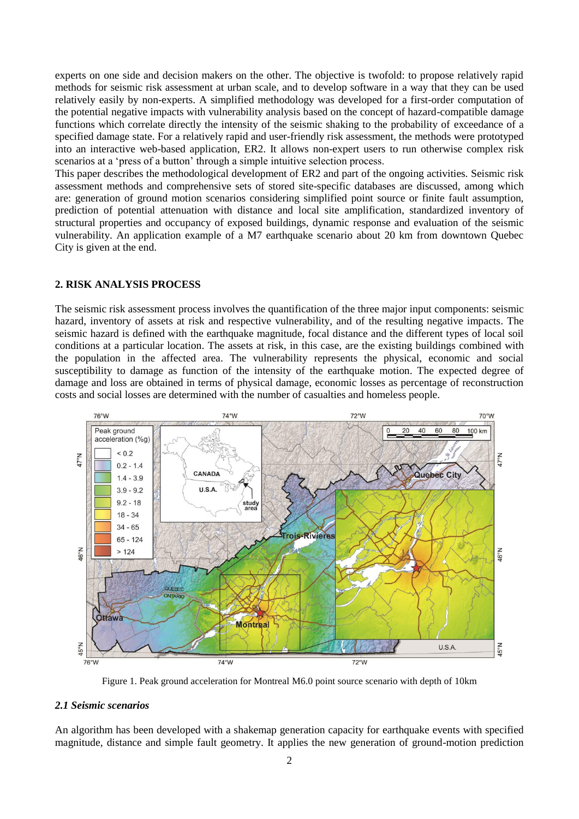experts on one side and decision makers on the other. The objective is twofold: to propose relatively rapid methods for seismic risk assessment at urban scale, and to develop software in a way that they can be used relatively easily by non-experts. A simplified methodology was developed for a first-order computation of the potential negative impacts with vulnerability analysis based on the concept of hazard-compatible damage functions which correlate directly the intensity of the seismic shaking to the probability of exceedance of a specified damage state. For a relatively rapid and user-friendly risk assessment, the methods were prototyped into an interactive web-based application, ER2. It allows non-expert users to run otherwise complex risk scenarios at a 'press of a button' through a simple intuitive selection process.

This paper describes the methodological development of ER2 and part of the ongoing activities. Seismic risk assessment methods and comprehensive sets of stored site-specific databases are discussed, among which are: generation of ground motion scenarios considering simplified point source or finite fault assumption, prediction of potential attenuation with distance and local site amplification, standardized inventory of structural properties and occupancy of exposed buildings, dynamic response and evaluation of the seismic vulnerability. An application example of a M7 earthquake scenario about 20 km from downtown Quebec City is given at the end.

## **2. RISK ANALYSIS PROCESS**

The seismic risk assessment process involves the quantification of the three major input components: seismic hazard, inventory of assets at risk and respective vulnerability, and of the resulting negative impacts. The seismic hazard is defined with the earthquake magnitude, focal distance and the different types of local soil conditions at a particular location. The assets at risk, in this case, are the existing buildings combined with the population in the affected area. The vulnerability represents the physical, economic and social susceptibility to damage as function of the intensity of the earthquake motion. The expected degree of damage and loss are obtained in terms of physical damage, economic losses as percentage of reconstruction costs and social losses are determined with the number of casualties and homeless people.



Figure 1. Peak ground acceleration for Montreal M6.0 point source scenario with depth of 10km

## *2.1 Seismic scenarios*

An algorithm has been developed with a shakemap generation capacity for earthquake events with specified magnitude, distance and simple fault geometry. It applies the new generation of ground-motion prediction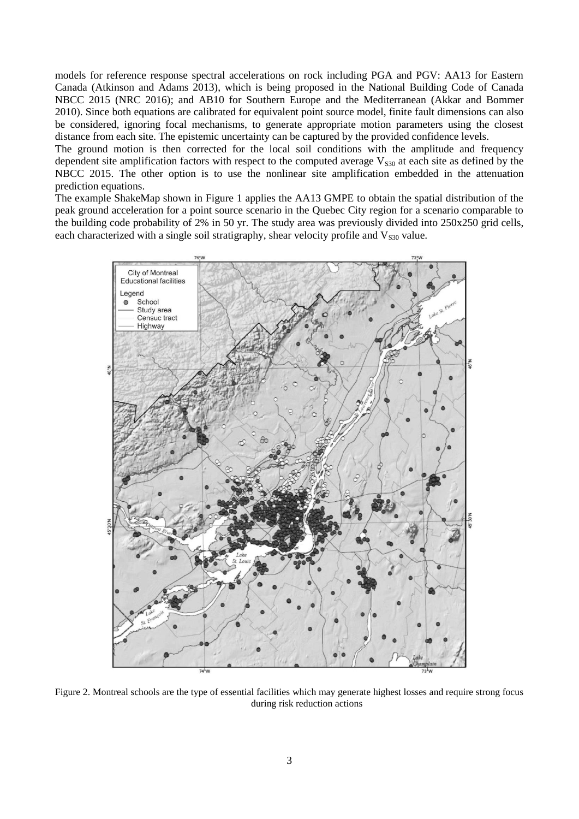models for reference response spectral accelerations on rock including PGA and PGV: AA13 for Eastern Canada (Atkinson and Adams 2013), which is being proposed in the National Building Code of Canada NBCC 2015 (NRC 2016); and AB10 for Southern Europe and the Mediterranean (Akkar and Bommer 2010). Since both equations are calibrated for equivalent point source model, finite fault dimensions can also be considered, ignoring focal mechanisms, to generate appropriate motion parameters using the closest distance from each site. The epistemic uncertainty can be captured by the provided confidence levels.

The ground motion is then corrected for the local soil conditions with the amplitude and frequency dependent site amplification factors with respect to the computed average  $V<sub>S30</sub>$  at each site as defined by the NBCC 2015. The other option is to use the nonlinear site amplification embedded in the attenuation prediction equations.

The example ShakeMap shown in Figure 1 applies the AA13 GMPE to obtain the spatial distribution of the peak ground acceleration for a point source scenario in the Quebec City region for a scenario comparable to the building code probability of 2% in 50 yr. The study area was previously divided into 250x250 grid cells, each characterized with a single soil stratigraphy, shear velocity profile and  $V_{s30}$  value.



Figure 2. Montreal schools are the type of essential facilities which may generate highest losses and require strong focus during risk reduction actions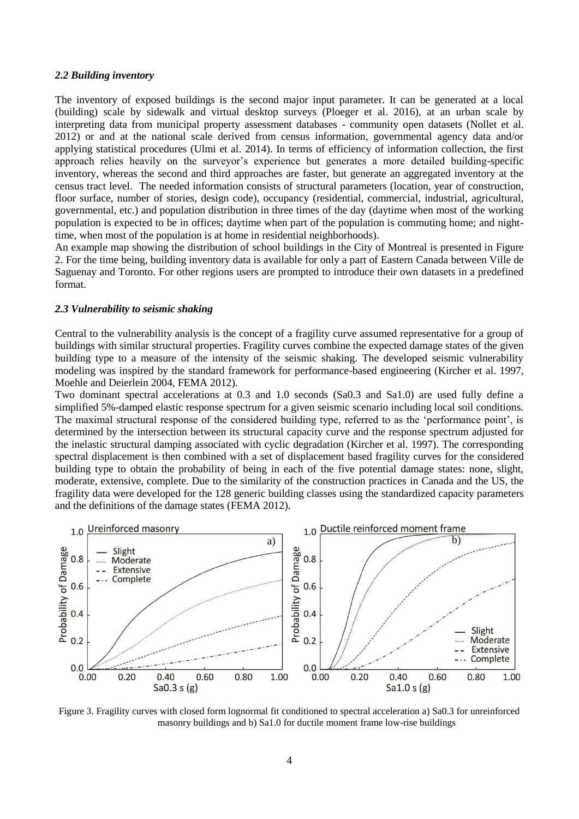## *2.2 Building inventory*

The inventory of exposed buildings is the second major input parameter. It can be generated at a local (building) scale by sidewalk and virtual desktop surveys (Ploeger et al. 2016), at an urban scale by interpreting data from municipal property assessment databases - community open datasets (Nollet et al. 2012) or and at the national scale derived from census information, governmental agency data and/or applying statistical procedures (Ulmi et al. 2014). In terms of efficiency of information collection, the first approach relies heavily on the surveyor's experience but generates a more detailed building-specific inventory, whereas the second and third approaches are faster, but generate an aggregated inventory at the census tract level. The needed information consists of structural parameters (location, year of construction, floor surface, number of stories, design code), occupancy (residential, commercial, industrial, agricultural, governmental, etc.) and population distribution in three times of the day (daytime when most of the working population is expected to be in offices; daytime when part of the population is commuting home; and nighttime, when most of the population is at home in residential neighborhoods).

An example map showing the distribution of school buildings in the City of Montreal is presented in Figure 2. For the time being, building inventory data is available for only a part of Eastern Canada between Ville de Saguenay and Toronto. For other regions users are prompted to introduce their own datasets in a predefined format.

#### *2.3 Vulnerability to seismic shaking*

Central to the vulnerability analysis is the concept of a fragility curve assumed representative for a group of buildings with similar structural properties. Fragility curves combine the expected damage states of the given building type to a measure of the intensity of the seismic shaking. The developed seismic vulnerability modeling was inspired by the standard framework for performance-based engineering (Kircher et al. 1997, Moehle and Deierlein 2004, FEMA 2012).

Two dominant spectral accelerations at 0.3 and 1.0 seconds (Sa0.3 and Sa1.0) are used fully define a simplified 5%-damped elastic response spectrum for a given seismic scenario including local soil conditions. The maximal structural response of the considered building type, referred to as the 'performance point', is determined by the intersection between its structural capacity curve and the response spectrum adjusted for the inelastic structural damping associated with cyclic degradation (Kircher et al. 1997). The corresponding spectral displacement is then combined with a set of displacement based fragility curves for the considered building type to obtain the probability of being in each of the five potential damage states: none, slight, moderate, extensive, complete. Due to the similarity of the construction practices in Canada and the US, the fragility data were developed for the 128 generic building classes using the standardized capacity parameters and the definitions of the damage states (FEMA 2012).

![](_page_3_Figure_6.jpeg)

Figure 3. Fragility curves with closed form lognormal fit conditioned to spectral acceleration a) Sa0.3 for unreinforced masonry buildings and b) Sa1.0 for ductile moment frame low-rise buildings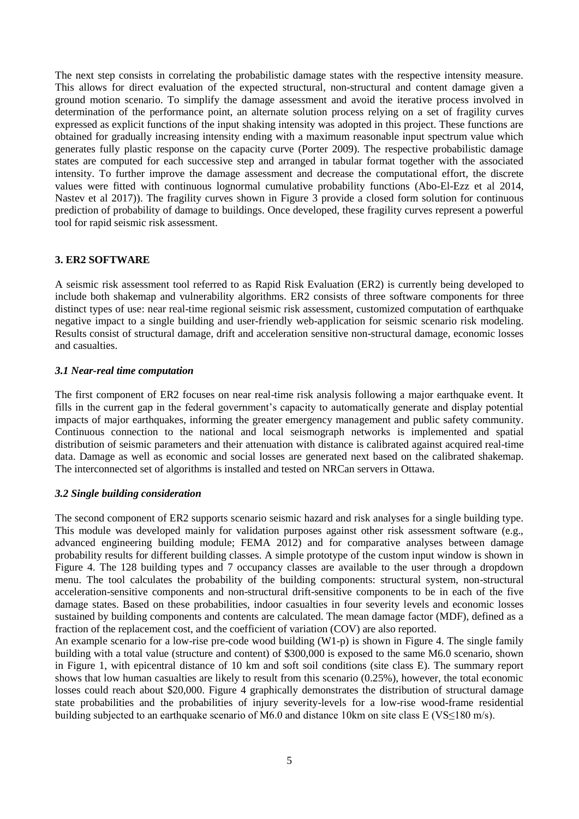The next step consists in correlating the probabilistic damage states with the respective intensity measure. This allows for direct evaluation of the expected structural, non-structural and content damage given a ground motion scenario. To simplify the damage assessment and avoid the iterative process involved in determination of the performance point, an alternate solution process relying on a set of fragility curves expressed as explicit functions of the input shaking intensity was adopted in this project. These functions are obtained for gradually increasing intensity ending with a maximum reasonable input spectrum value which generates fully plastic response on the capacity curve (Porter 2009). The respective probabilistic damage states are computed for each successive step and arranged in tabular format together with the associated intensity. To further improve the damage assessment and decrease the computational effort, the discrete values were fitted with continuous lognormal cumulative probability functions (Abo-El-Ezz et al 2014, Nastev et al 2017)). The fragility curves shown in Figure 3 provide a closed form solution for continuous prediction of probability of damage to buildings. Once developed, these fragility curves represent a powerful tool for rapid seismic risk assessment.

## **3. ER2 SOFTWARE**

A seismic risk assessment tool referred to as Rapid Risk Evaluation (ER2) is currently being developed to include both shakemap and vulnerability algorithms. ER2 consists of three software components for three distinct types of use: near real-time regional seismic risk assessment, customized computation of earthquake negative impact to a single building and user-friendly web-application for seismic scenario risk modeling. Results consist of structural damage, drift and acceleration sensitive non-structural damage, economic losses and casualties.

## *3.1 Near-real time computation*

The first component of ER2 focuses on near real-time risk analysis following a major earthquake event. It fills in the current gap in the federal government's capacity to automatically generate and display potential impacts of major earthquakes, informing the greater emergency management and public safety community. Continuous connection to the national and local seismograph networks is implemented and spatial distribution of seismic parameters and their attenuation with distance is calibrated against acquired real-time data. Damage as well as economic and social losses are generated next based on the calibrated shakemap. The interconnected set of algorithms is installed and tested on NRCan servers in Ottawa.

## *3.2 Single building consideration*

The second component of ER2 supports scenario seismic hazard and risk analyses for a single building type. This module was developed mainly for validation purposes against other risk assessment software (e.g., advanced engineering building module; FEMA 2012) and for comparative analyses between damage probability results for different building classes. A simple prototype of the custom input window is shown in Figure 4. The 128 building types and 7 occupancy classes are available to the user through a dropdown menu. The tool calculates the probability of the building components: structural system, non-structural acceleration-sensitive components and non-structural drift-sensitive components to be in each of the five damage states. Based on these probabilities, indoor casualties in four severity levels and economic losses sustained by building components and contents are calculated. The mean damage factor (MDF), defined as a fraction of the replacement cost, and the coefficient of variation (COV) are also reported.

An example scenario for a low-rise pre-code wood building (W1-p) is shown in Figure 4. The single family building with a total value (structure and content) of \$300,000 is exposed to the same M6.0 scenario, shown in Figure 1, with epicentral distance of 10 km and soft soil conditions (site class E). The summary report shows that low human casualties are likely to result from this scenario (0.25%), however, the total economic losses could reach about \$20,000. Figure 4 graphically demonstrates the distribution of structural damage state probabilities and the probabilities of injury severity-levels for a low-rise wood-frame residential building subjected to an earthquake scenario of M6.0 and distance 10km on site class E (VS≤180 m/s).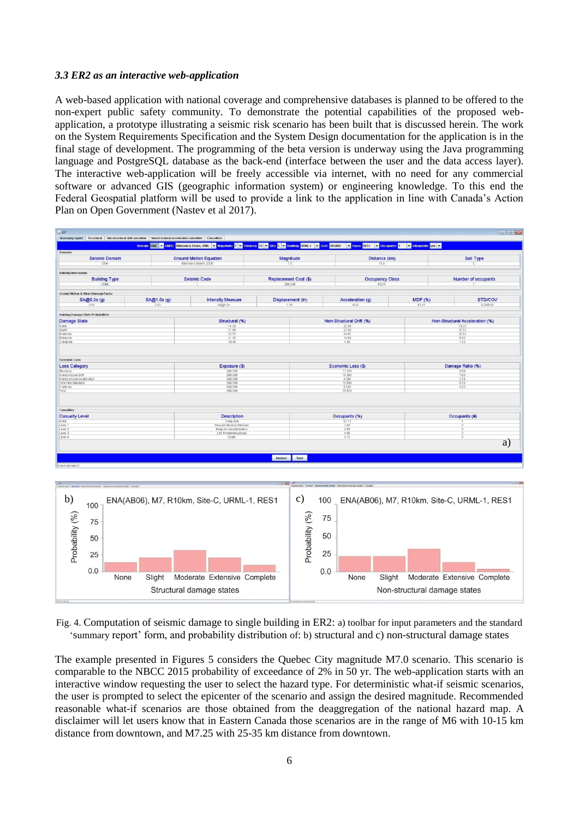## *3.3 ER2 as an interactive web-application*

A web-based application with national coverage and comprehensive databases is planned to be offered to the non-expert public safety community. To demonstrate the potential capabilities of the proposed webapplication, a prototype illustrating a seismic risk scenario has been built that is discussed herein. The work on the System Requirements Specification and the System Design documentation for the application is in the final stage of development. The programming of the beta version is underway using the Java programming language and PostgreSQL database as the back-end (interface between the user and the data access layer). The interactive web-application will be freely accessible via internet, with no need for any commercial software or advanced GIS (geographic information system) or engineering knowledge. To this end the Federal Geospatial platform will be used to provide a link to the application in line with Canada's Action Plan on Open Government (Nastev et al 2017).

![](_page_5_Figure_2.jpeg)

Fig. 4. Computation of seismic damage to single building in ER2: a) toolbar for input parameters and the standard 'summary report' form, and probability distribution of: b) structural and c) non-structural damage states

The example presented in Figures 5 considers the Quebec City magnitude M7.0 scenario. This scenario is comparable to the NBCC 2015 probability of exceedance of 2% in 50 yr. The web-application starts with an interactive window requesting the user to select the hazard type. For deterministic what-if seismic scenarios, the user is prompted to select the epicenter of the scenario and assign the desired magnitude. Recommended reasonable what-if scenarios are those obtained from the deaggregation of the national hazard map. A disclaimer will let users know that in Eastern Canada those scenarios are in the range of M6 with 10-15 km distance from downtown, and M7.25 with 25-35 km distance from downtown.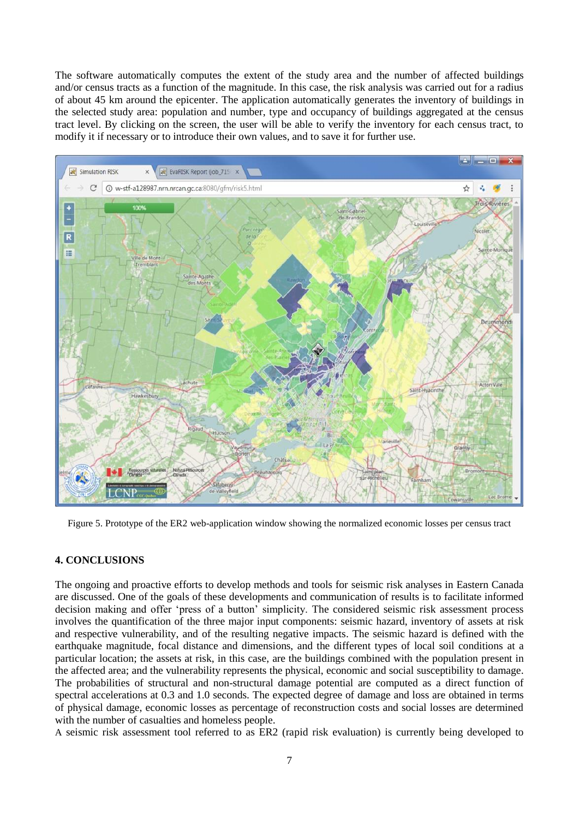The software automatically computes the extent of the study area and the number of affected buildings and/or census tracts as a function of the magnitude. In this case, the risk analysis was carried out for a radius of about 45 km around the epicenter. The application automatically generates the inventory of buildings in the selected study area: population and number, type and occupancy of buildings aggregated at the census tract level. By clicking on the screen, the user will be able to verify the inventory for each census tract, to modify it if necessary or to introduce their own values, and to save it for further use.

![](_page_6_Figure_1.jpeg)

Figure 5. Prototype of the ER2 web-application window showing the normalized economic losses per census tract

## **4. CONCLUSIONS**

The ongoing and proactive efforts to develop methods and tools for seismic risk analyses in Eastern Canada are discussed. One of the goals of these developments and communication of results is to facilitate informed decision making and offer 'press of a button' simplicity. The considered seismic risk assessment process involves the quantification of the three major input components: seismic hazard, inventory of assets at risk and respective vulnerability, and of the resulting negative impacts. The seismic hazard is defined with the earthquake magnitude, focal distance and dimensions, and the different types of local soil conditions at a particular location; the assets at risk, in this case, are the buildings combined with the population present in the affected area; and the vulnerability represents the physical, economic and social susceptibility to damage. The probabilities of structural and non-structural damage potential are computed as a direct function of spectral accelerations at 0.3 and 1.0 seconds. The expected degree of damage and loss are obtained in terms of physical damage, economic losses as percentage of reconstruction costs and social losses are determined with the number of casualties and homeless people.

A seismic risk assessment tool referred to as ER2 (rapid risk evaluation) is currently being developed to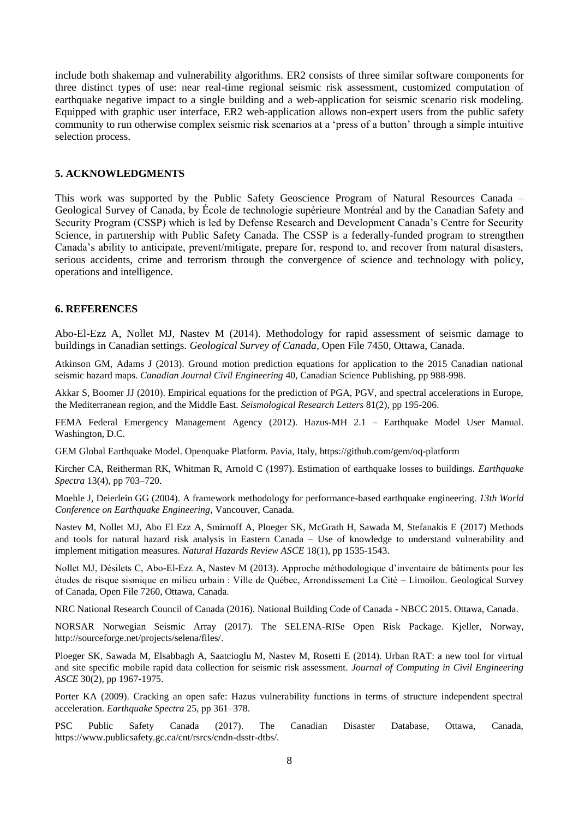include both shakemap and vulnerability algorithms. ER2 consists of three similar software components for three distinct types of use: near real-time regional seismic risk assessment, customized computation of earthquake negative impact to a single building and a web-application for seismic scenario risk modeling. Equipped with graphic user interface, ER2 web-application allows non-expert users from the public safety community to run otherwise complex seismic risk scenarios at a 'press of a button' through a simple intuitive selection process.

#### **5. ACKNOWLEDGMENTS**

This work was supported by the Public Safety Geoscience Program of Natural Resources Canada – Geological Survey of Canada, by École de technologie supérieure Montréal and by the Canadian Safety and Security Program (CSSP) which is led by Defense Research and Development Canada's Centre for Security Science, in partnership with Public Safety Canada. The CSSP is a federally-funded program to strengthen Canada's ability to anticipate, prevent/mitigate, prepare for, respond to, and recover from natural disasters, serious accidents, crime and terrorism through the convergence of science and technology with policy, operations and intelligence.

## **6. REFERENCES**

Abo-El-Ezz A, Nollet MJ, Nastev M (2014). Methodology for rapid assessment of seismic damage to buildings in Canadian settings. *Geological Survey of Canada*, Open File 7450, Ottawa, Canada.

Atkinson GM, Adams J (2013). Ground motion prediction equations for application to the 2015 Canadian national seismic hazard maps. *Canadian Journal Civil Engineering* 40, Canadian Science Publishing, pp 988-998.

Akkar S, Boomer JJ (2010). Empirical equations for the prediction of PGA, PGV, and spectral accelerations in Europe, the Mediterranean region, and the Middle East. *Seismological Research Letters* 81(2), pp 195-206.

FEMA Federal Emergency Management Agency (2012). Hazus-MH 2.1 – Earthquake Model User Manual. Washington, D.C.

GEM Global Earthquake Model. Openquake Platform. Pavia, Italy,<https://github.com/gem/oq-platform>

Kircher CA, Reitherman RK, Whitman R, Arnold C (1997). Estimation of earthquake losses to buildings. *Earthquake Spectra* 13(4), pp 703–720.

Moehle J, Deierlein GG (2004). A framework methodology for performance-based earthquake engineering. *13th World Conference on Earthquake Engineering*, Vancouver, Canada.

Nastev M, Nollet MJ, Abo El Ezz A, Smirnoff A, Ploeger SK, McGrath H, Sawada M, Stefanakis E (2017) Methods and tools for natural hazard risk analysis in Eastern Canada – Use of knowledge to understand vulnerability and implement mitigation measures. *Natural Hazards Review ASCE* 18(1), pp 1535-1543.

Nollet MJ, Désilets C, Abo-El-Ezz A, Nastev M (2013). Approche méthodologique d'inventaire de bâtiments pour les études de risque sismique en milieu urbain : Ville de Québec, Arrondissement La Cité – Limoilou. Geological Survey of Canada, Open File 7260, Ottawa, Canada.

NRC National Research Council of Canada (2016). National Building Code of Canada - NBCC 2015. Ottawa, Canada.

NORSAR Norwegian Seismic Array (2017). The SELENA-RISe Open Risk Package. Kjeller, Norway, [http://sourceforge.net/projects/selena/files/.](http://sourceforge.net/projects/selena/files/)

Ploeger SK, Sawada M, Elsabbagh A, Saatcioglu M, Nastev M, Rosetti E (2014). Urban RAT: a new tool for virtual and site specific mobile rapid data collection for seismic risk assessment. *Journal of Computing in Civil Engineering ASCE* 30(2), pp 1967-1975.

Porter KA (2009). Cracking an open safe: Hazus vulnerability functions in terms of structure independent spectral acceleration. *Earthquake Spectra* 25, pp 361–378.

PSC Public Safety Canada (2017). The Canadian Disaster Database, Ottawa, Canada, https:/[/www.publicsafety.gc.ca/cnt/rsrcs/cndn-dsstr-dtbs/.](http://www.publicsafety.gc.ca/cnt/rsrcs/cndn-dsstr-dtbs/)